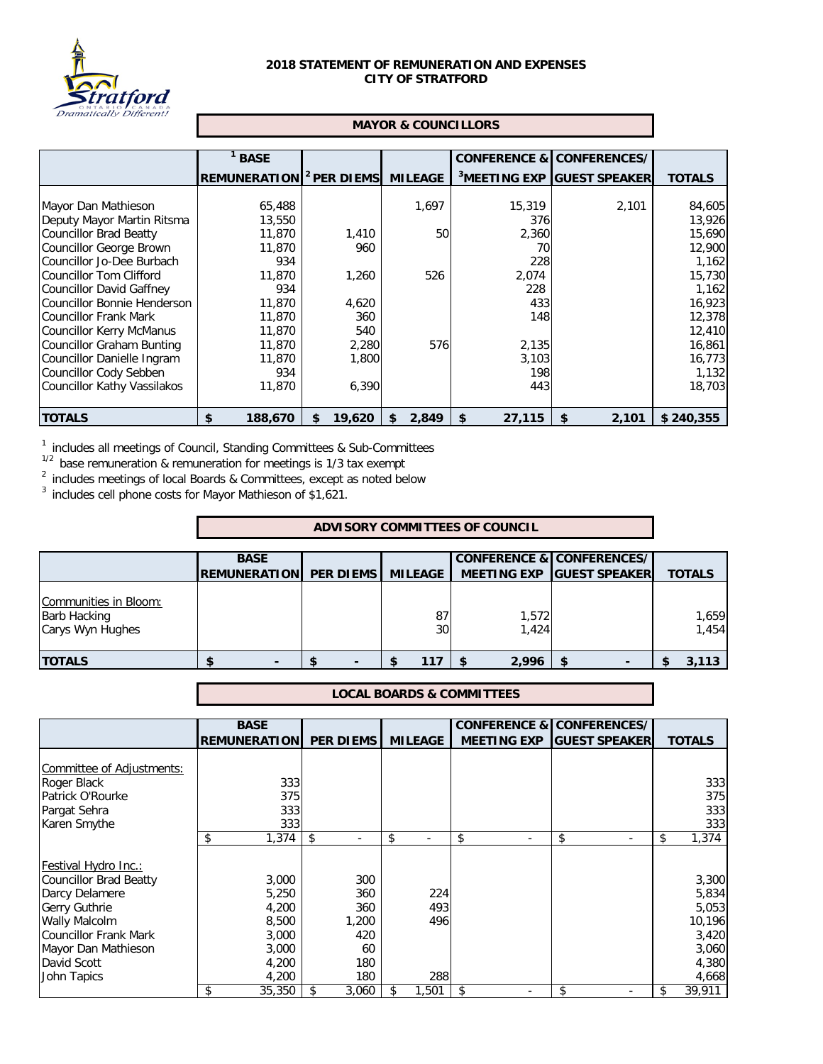

## **2018 STATEMENT OF REMUNERATION AND EXPENSES CITY OF STRATFORD**

## **MAYOR & COUNCILLORS**

|                             | <b>BASE</b>                                |              |                | <b>CONFERENCE &amp; CONFERENCES/</b> |                                        |               |
|-----------------------------|--------------------------------------------|--------------|----------------|--------------------------------------|----------------------------------------|---------------|
|                             | <b>REMUNERATION</b> <sup>2</sup> PER DIEMS |              | <b>MILEAGE</b> |                                      | <sup>3</sup> MEETING EXP GUEST SPEAKER | <b>TOTALS</b> |
|                             |                                            |              |                |                                      |                                        |               |
| Mayor Dan Mathieson         | 65,488                                     |              | 1,697          | 15,319                               | 2,101                                  | 84,605        |
| Deputy Mayor Martin Ritsma  | 13,550                                     |              |                | 376                                  |                                        | 13,926        |
| Councillor Brad Beatty      | 11,870                                     | 1,410        | 50             | 2,360                                |                                        | 15,690        |
| Councillor George Brown     | 11,870                                     | 960          |                | 70                                   |                                        | 12,900        |
| Councillor Jo-Dee Burbach   | 934                                        |              |                | 228                                  |                                        | 1,162         |
| Councillor Tom Clifford     | 11,870                                     | 1,260        | 526            | 2,074                                |                                        | 15,730        |
| Councillor David Gaffney    | 934                                        |              |                | 228                                  |                                        | 1,162         |
| Councillor Bonnie Henderson | 11,870                                     | 4,620        |                | 433                                  |                                        | 16,923        |
| Councillor Frank Mark       | 11,870                                     | 360          |                | 148                                  |                                        | 12,378        |
| Councillor Kerry McManus    | 11,870                                     | 540          |                |                                      |                                        | 12,410        |
| Councillor Graham Bunting   | 11,870                                     | 2,280        | 576            | 2,135                                |                                        | 16,861        |
| Councillor Danielle Ingram  | 11,870                                     | 1,800        |                | 3,103                                |                                        | 16,773        |
| Councillor Cody Sebben      | 934                                        |              |                | 198                                  |                                        | 1,132         |
| Councillor Kathy Vassilakos | 11,870                                     | 6,390        |                | 443                                  |                                        | 18,703        |
|                             |                                            |              |                |                                      |                                        |               |
| <b>TOTALS</b>               | \$<br>188,670                              | 19,620<br>\$ | 2,849<br>\$    | 27,115<br>\$                         | 2,101<br>\$                            | \$240,355     |

<sup>1</sup> includes all meetings of Council, Standing Committees & Sub-Committees

 $1/2$  base remuneration & remuneration for meetings is 1/3 tax exempt

 $2$  includes meetings of local Boards & Committees, except as noted below

 $3$  includes cell phone costs for Mayor Mathieson of \$1,621.

## **ADVISORY COMMITTEES OF COUNCIL**

|                                                                  | <b>BASE</b>                    |                       |                | <b>CONFERENCE &amp; CONFERENCES/</b> |                |
|------------------------------------------------------------------|--------------------------------|-----------------------|----------------|--------------------------------------|----------------|
|                                                                  | REMUNERATION PER DIEMS MILEAGE |                       |                | MEETING EXP GUEST SPEAKER            | <b>TOTALS</b>  |
| Communities in Bloom:<br><b>Barb Hacking</b><br>Carys Wyn Hughes |                                | 87<br>30 <sub>1</sub> | 1,572<br>1,424 |                                      | 1,659<br>1,454 |
| <b>ITOTALS</b>                                                   |                                | 117<br>S              | 2,996          |                                      | 3,113          |

## **LOCAL BOARDS & COMMITTEES**

|                           | <b>BASE</b>         |                  |                |                    | <b>CONFERENCE &amp; CONFERENCES/</b> |               |
|---------------------------|---------------------|------------------|----------------|--------------------|--------------------------------------|---------------|
|                           | <b>REMUNERATION</b> | <b>PER DIEMS</b> | <b>MILEAGE</b> | <b>MEETING EXP</b> | <b>GUEST SPEAKER</b>                 | <b>TOTALS</b> |
|                           |                     |                  |                |                    |                                      |               |
| Committee of Adjustments: |                     |                  |                |                    |                                      |               |
| Roger Black               | 333                 |                  |                |                    |                                      | 333           |
| Patrick O'Rourke          | 375                 |                  |                |                    |                                      | 375           |
| Pargat Sehra              | 333                 |                  |                |                    |                                      | 333           |
| Karen Smythe              | 333                 |                  |                |                    |                                      | 333           |
|                           | \$<br>1,374         | -\$              | \$<br>۰        | \$                 | \$                                   | \$<br>1,374   |
|                           |                     |                  |                |                    |                                      |               |
| Festival Hydro Inc.:      |                     |                  |                |                    |                                      |               |
| Councillor Brad Beatty    | 3,000               | 300              |                |                    |                                      | 3,300         |
| Darcy Delamere            | 5,250               | 360              | 224            |                    |                                      | 5,834         |
| <b>Gerry Guthrie</b>      | 4,200               | 360              | 493            |                    |                                      | 5,053         |
| <b>Wally Malcolm</b>      | 8,500               | 1,200            | 496            |                    |                                      | 10,196        |
| Councillor Frank Mark     | 3,000               | 420              |                |                    |                                      | 3,420         |
| Mayor Dan Mathieson       | 3,000               | 60               |                |                    |                                      | 3,060         |
| David Scott               | 4,200               | 180              |                |                    |                                      | 4,380         |
| John Tapics               | 4,200               | 180              | 288            |                    |                                      | 4,668         |
|                           | \$<br>35,350        | \$<br>3,060      | 1,501          | \$                 | \$.                                  | 39,911        |